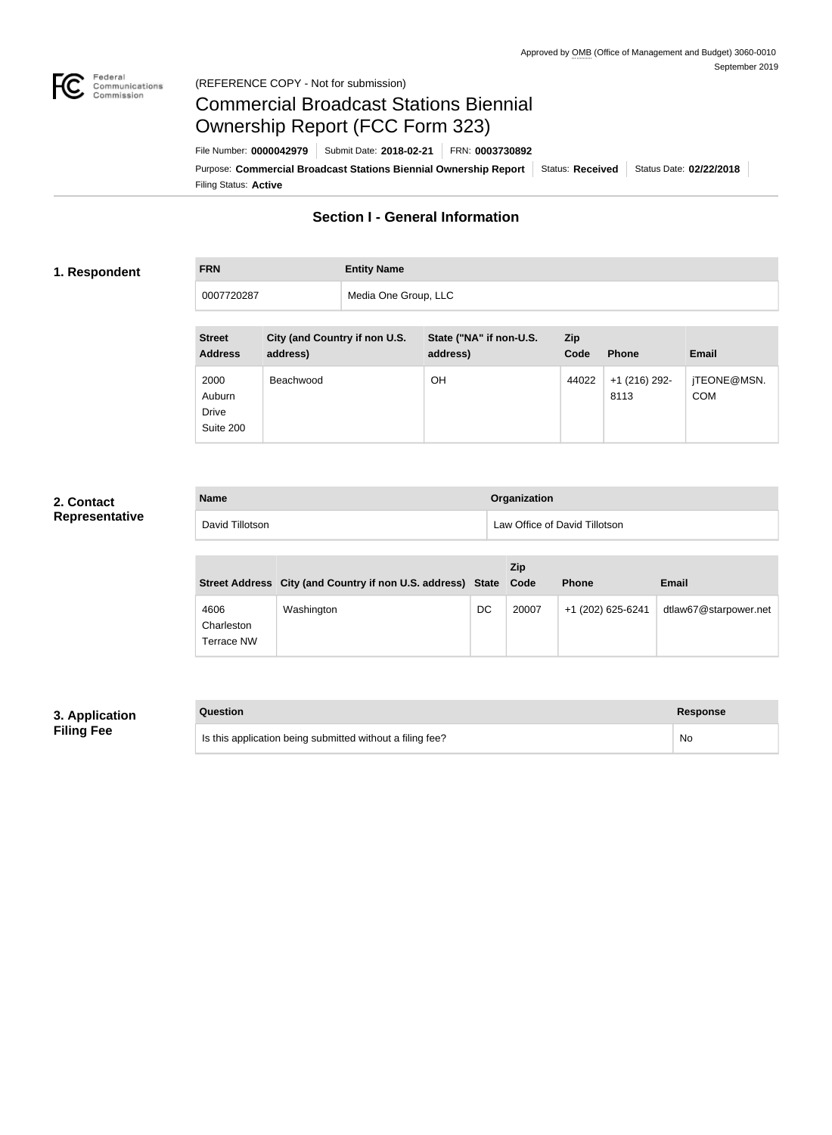

#### Federal<br>Communications<br>Commission (REFERENCE COPY - Not for submission)

# Commercial Broadcast Stations Biennial Ownership Report (FCC Form 323)

Filing Status: **Active** Purpose: Commercial Broadcast Stations Biennial Ownership Report Status: Received Status Date: 02/22/2018 File Number: **0000042979** Submit Date: **2018-02-21** FRN: **0003730892**

# **Section I - General Information**

#### **1. Respondent**

| <b>FRN</b> | <b>Entity Name</b>   |
|------------|----------------------|
| 0007720287 | Media One Group, LLC |

| <b>Street</b><br><b>Address</b>             | City (and Country if non U.S.<br>address) | State ("NA" if non-U.S.<br>address) | <b>Zip</b><br>Code | <b>Phone</b>            | <b>Email</b>              |
|---------------------------------------------|-------------------------------------------|-------------------------------------|--------------------|-------------------------|---------------------------|
| 2000<br>Auburn<br><b>Drive</b><br>Suite 200 | Beachwood                                 | ΟH                                  | 44022              | $+1$ (216) 292-<br>8113 | jTEONE@MSN.<br><b>COM</b> |

### **2. Contact Representative**

| <b>Name</b>     | <b>Organization</b>           |
|-----------------|-------------------------------|
| David Tillotson | Law Office of David Tillotson |

|                                  | Street Address City (and Country if non U.S. address) State Code |    | Zip   | <b>Phone</b>      | <b>Email</b>          |
|----------------------------------|------------------------------------------------------------------|----|-------|-------------------|-----------------------|
| 4606<br>Charleston<br>Terrace NW | Washington                                                       | DC | 20007 | +1 (202) 625-6241 | dtlaw67@starpower.net |

## **3. Application Filing Fee**

| Question                                                  | Response |
|-----------------------------------------------------------|----------|
| Is this application being submitted without a filing fee? | No       |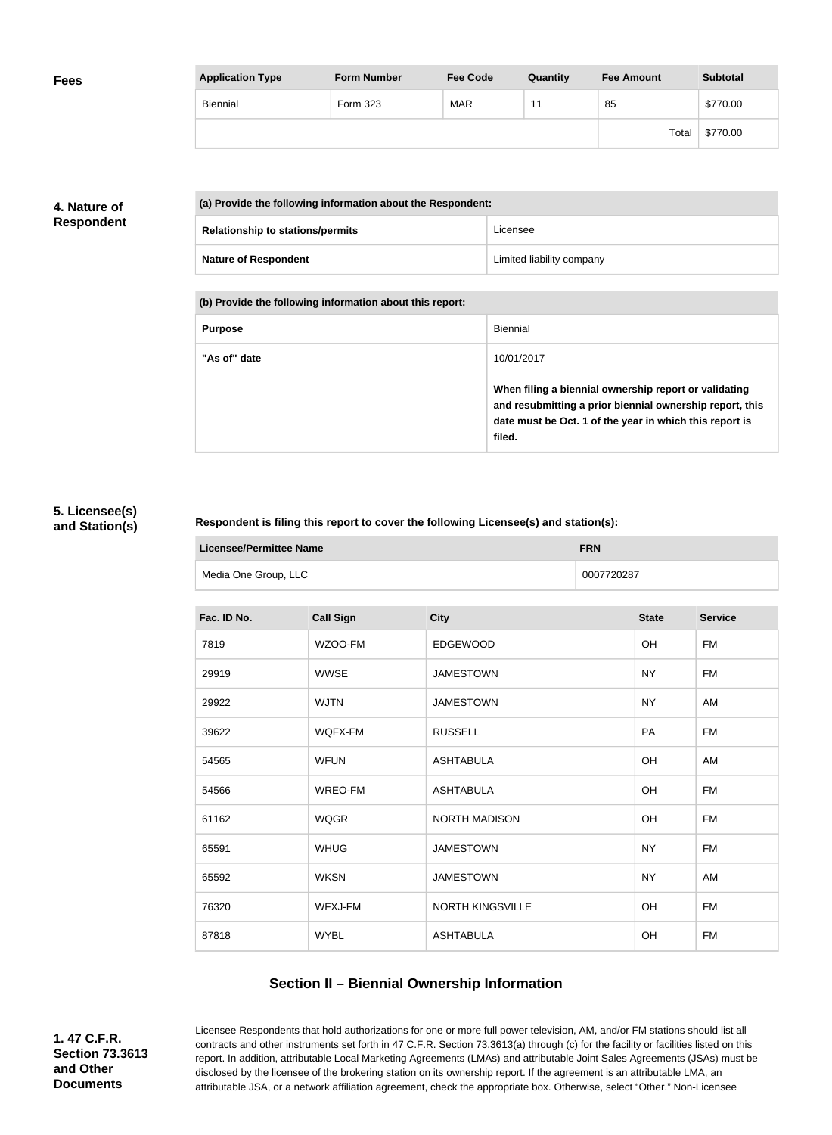| <b>Fees</b> | <b>Application Type</b> | <b>Form Number</b> | <b>Fee Code</b> | Quantity | <b>Fee Amount</b> | <b>Subtotal</b> |
|-------------|-------------------------|--------------------|-----------------|----------|-------------------|-----------------|
|             | Biennial                | Form 323           | <b>MAR</b>      | 4.       | 85                | \$770.00        |
|             |                         |                    |                 |          | Total             | \$770.00        |

# **4. Nature of Respondent**

| (a) Provide the following information about the Respondent: |                                         |                           |
|-------------------------------------------------------------|-----------------------------------------|---------------------------|
|                                                             | <b>Relationship to stations/permits</b> | Licensee                  |
|                                                             | <b>Nature of Respondent</b>             | Limited liability company |

**(b) Provide the following information about this report:**

| <b>Purpose</b> | Biennial                                                                                                                                                                               |
|----------------|----------------------------------------------------------------------------------------------------------------------------------------------------------------------------------------|
| "As of" date   | 10/01/2017                                                                                                                                                                             |
|                | When filing a biennial ownership report or validating<br>and resubmitting a prior biennial ownership report, this<br>date must be Oct. 1 of the year in which this report is<br>filed. |

#### **5. Licensee(s) and Station(s)**

#### **Respondent is filing this report to cover the following Licensee(s) and station(s):**

| Licensee/Permittee Name | <b>FRN</b> |
|-------------------------|------------|
| Media One Group, LLC    | 0007720287 |

| Fac. ID No. | <b>Call Sign</b> | <b>City</b>          | <b>State</b> | <b>Service</b> |
|-------------|------------------|----------------------|--------------|----------------|
| 7819        | WZOO-FM          | <b>EDGEWOOD</b>      | <b>OH</b>    | <b>FM</b>      |
| 29919       | <b>WWSE</b>      | <b>JAMESTOWN</b>     | NY           | <b>FM</b>      |
| 29922       | <b>WJTN</b>      | <b>JAMESTOWN</b>     | <b>NY</b>    | AM             |
| 39622       | WQFX-FM          | <b>RUSSELL</b>       | <b>PA</b>    | <b>FM</b>      |
| 54565       | <b>WFUN</b>      | <b>ASHTABULA</b>     | OH           | AM             |
| 54566       | WREO-FM          | <b>ASHTABULA</b>     | <b>OH</b>    | <b>FM</b>      |
| 61162       | <b>WQGR</b>      | <b>NORTH MADISON</b> | <b>OH</b>    | <b>FM</b>      |
| 65591       | <b>WHUG</b>      | <b>JAMESTOWN</b>     | <b>NY</b>    | <b>FM</b>      |
| 65592       | <b>WKSN</b>      | <b>JAMESTOWN</b>     | NY           | AM             |
| 76320       | WFXJ-FM          | NORTH KINGSVILLE     | OH           | <b>FM</b>      |
| 87818       | <b>WYBL</b>      | <b>ASHTABULA</b>     | OH           | <b>FM</b>      |

# **Section II – Biennial Ownership Information**

**1. 47 C.F.R. Section 73.3613 and Other Documents**

Licensee Respondents that hold authorizations for one or more full power television, AM, and/or FM stations should list all contracts and other instruments set forth in 47 C.F.R. Section 73.3613(a) through (c) for the facility or facilities listed on this report. In addition, attributable Local Marketing Agreements (LMAs) and attributable Joint Sales Agreements (JSAs) must be disclosed by the licensee of the brokering station on its ownership report. If the agreement is an attributable LMA, an attributable JSA, or a network affiliation agreement, check the appropriate box. Otherwise, select "Other." Non-Licensee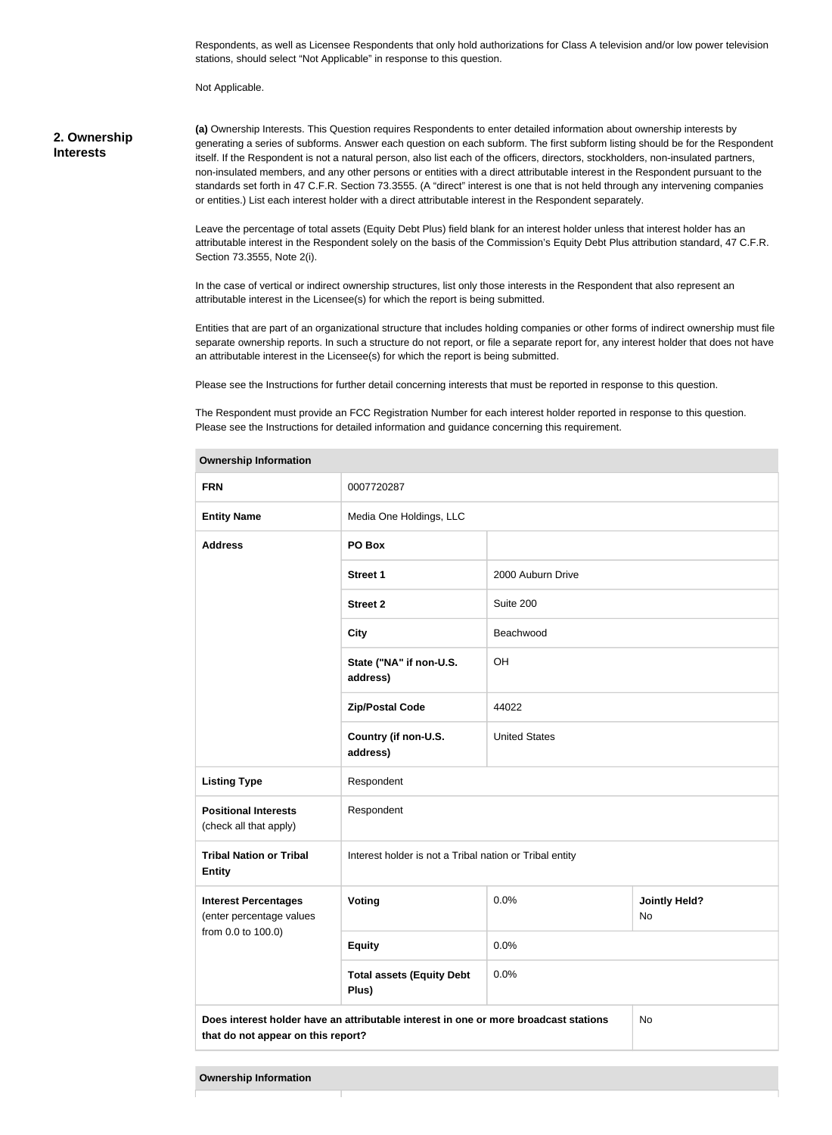Respondents, as well as Licensee Respondents that only hold authorizations for Class A television and/or low power television stations, should select "Not Applicable" in response to this question.

Not Applicable.

#### **2. Ownership Interests**

**(a)** Ownership Interests. This Question requires Respondents to enter detailed information about ownership interests by generating a series of subforms. Answer each question on each subform. The first subform listing should be for the Respondent itself. If the Respondent is not a natural person, also list each of the officers, directors, stockholders, non-insulated partners, non-insulated members, and any other persons or entities with a direct attributable interest in the Respondent pursuant to the standards set forth in 47 C.F.R. Section 73.3555. (A "direct" interest is one that is not held through any intervening companies or entities.) List each interest holder with a direct attributable interest in the Respondent separately.

Leave the percentage of total assets (Equity Debt Plus) field blank for an interest holder unless that interest holder has an attributable interest in the Respondent solely on the basis of the Commission's Equity Debt Plus attribution standard, 47 C.F.R. Section 73.3555, Note 2(i).

In the case of vertical or indirect ownership structures, list only those interests in the Respondent that also represent an attributable interest in the Licensee(s) for which the report is being submitted.

Entities that are part of an organizational structure that includes holding companies or other forms of indirect ownership must file separate ownership reports. In such a structure do not report, or file a separate report for, any interest holder that does not have an attributable interest in the Licensee(s) for which the report is being submitted.

Please see the Instructions for further detail concerning interests that must be reported in response to this question.

The Respondent must provide an FCC Registration Number for each interest holder reported in response to this question. Please see the Instructions for detailed information and guidance concerning this requirement.

| <b>Ownership Information</b>                                                                                                     |                                                         |                      |                            |  |
|----------------------------------------------------------------------------------------------------------------------------------|---------------------------------------------------------|----------------------|----------------------------|--|
| <b>FRN</b>                                                                                                                       | 0007720287                                              |                      |                            |  |
| <b>Entity Name</b>                                                                                                               | Media One Holdings, LLC                                 |                      |                            |  |
| <b>Address</b>                                                                                                                   | PO Box                                                  |                      |                            |  |
|                                                                                                                                  | <b>Street 1</b>                                         | 2000 Auburn Drive    |                            |  |
|                                                                                                                                  | <b>Street 2</b>                                         | Suite 200            |                            |  |
|                                                                                                                                  | <b>City</b>                                             | Beachwood            |                            |  |
|                                                                                                                                  | State ("NA" if non-U.S.<br>address)                     | OH                   |                            |  |
|                                                                                                                                  | <b>Zip/Postal Code</b>                                  | 44022                |                            |  |
|                                                                                                                                  | Country (if non-U.S.<br>address)                        | <b>United States</b> |                            |  |
| <b>Listing Type</b>                                                                                                              | Respondent                                              |                      |                            |  |
| <b>Positional Interests</b><br>(check all that apply)                                                                            | Respondent                                              |                      |                            |  |
| <b>Tribal Nation or Tribal</b><br><b>Entity</b>                                                                                  | Interest holder is not a Tribal nation or Tribal entity |                      |                            |  |
| <b>Interest Percentages</b><br>(enter percentage values                                                                          | Voting                                                  | 0.0%                 | <b>Jointly Held?</b><br>No |  |
| from 0.0 to 100.0)                                                                                                               | <b>Equity</b>                                           | 0.0%                 |                            |  |
|                                                                                                                                  | <b>Total assets (Equity Debt</b><br>Plus)               | 0.0%                 |                            |  |
| Does interest holder have an attributable interest in one or more broadcast stations<br>No<br>that do not appear on this report? |                                                         |                      |                            |  |
|                                                                                                                                  |                                                         |                      |                            |  |

**Ownership Information**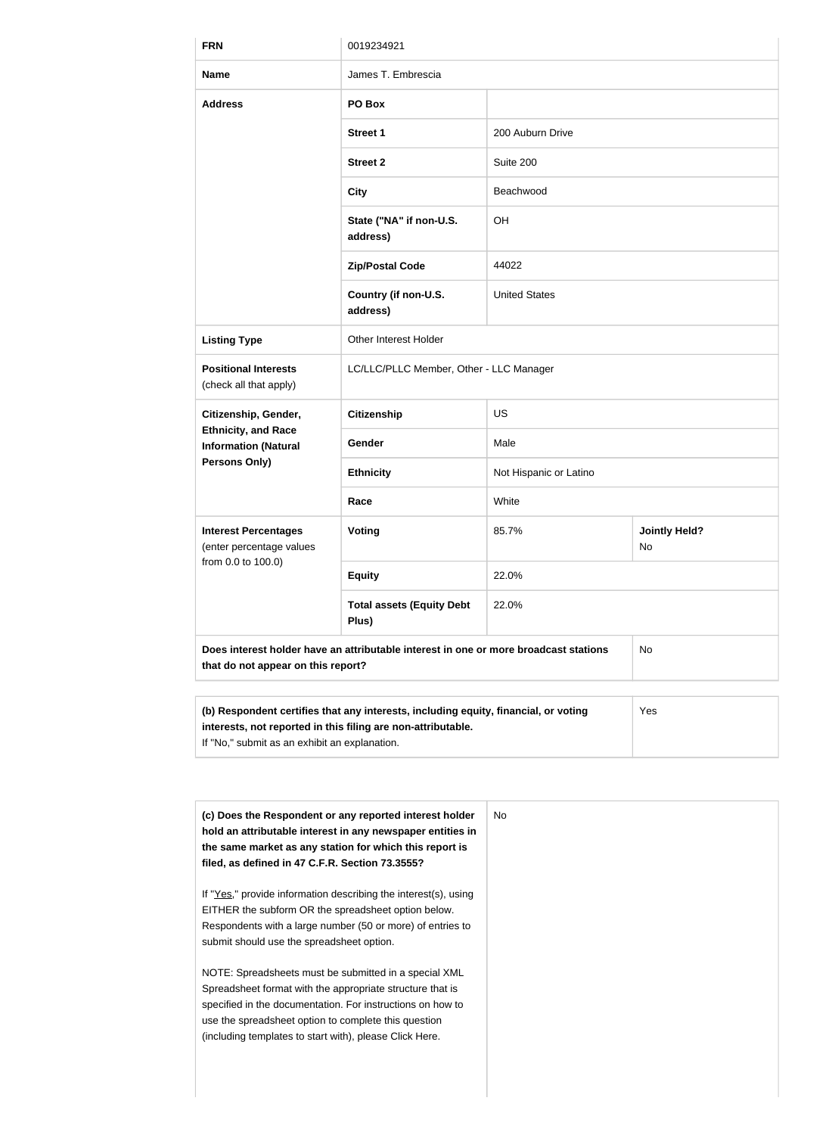| <b>FRN</b>                                                   | 0019234921                                                                           |                        |                            |  |
|--------------------------------------------------------------|--------------------------------------------------------------------------------------|------------------------|----------------------------|--|
| <b>Name</b>                                                  | James T. Embrescia                                                                   |                        |                            |  |
| <b>Address</b>                                               | PO Box                                                                               |                        |                            |  |
|                                                              | <b>Street 1</b>                                                                      | 200 Auburn Drive       |                            |  |
|                                                              | <b>Street 2</b>                                                                      | Suite 200              |                            |  |
|                                                              | <b>City</b>                                                                          | Beachwood              |                            |  |
|                                                              | State ("NA" if non-U.S.<br>address)                                                  | OH                     |                            |  |
|                                                              | <b>Zip/Postal Code</b>                                                               | 44022                  |                            |  |
|                                                              | Country (if non-U.S.<br>address)                                                     | <b>United States</b>   |                            |  |
| <b>Listing Type</b>                                          | <b>Other Interest Holder</b>                                                         |                        |                            |  |
| <b>Positional Interests</b><br>(check all that apply)        | LC/LLC/PLLC Member, Other - LLC Manager                                              |                        |                            |  |
| Citizenship, Gender,                                         | <b>Citizenship</b>                                                                   | <b>US</b>              |                            |  |
| <b>Ethnicity, and Race</b><br><b>Information (Natural</b>    | Gender                                                                               | Male                   |                            |  |
| Persons Only)                                                | <b>Ethnicity</b>                                                                     | Not Hispanic or Latino |                            |  |
|                                                              | Race                                                                                 | White                  |                            |  |
| <b>Interest Percentages</b><br>(enter percentage values      | <b>Voting</b>                                                                        | 85.7%                  | <b>Jointly Held?</b><br>No |  |
| from 0.0 to 100.0)                                           | <b>Equity</b>                                                                        | 22.0%                  |                            |  |
|                                                              | <b>Total assets (Equity Debt</b><br>Plus)                                            | 22.0%                  |                            |  |
| that do not appear on this report?                           | Does interest holder have an attributable interest in one or more broadcast stations |                        | <b>No</b>                  |  |
|                                                              |                                                                                      |                        |                            |  |
| interests, not reported in this filing are non-attributable. | (b) Respondent certifies that any interests, including equity, financial, or voting  |                        | Yes                        |  |

If "No," submit as an exhibit an explanation.

| (c) Does the Respondent or any reported interest holder<br>hold an attributable interest in any newspaper entities in<br>the same market as any station for which this report is<br>filed, as defined in 47 C.F.R. Section 73.3555?                                                                 | No. |
|-----------------------------------------------------------------------------------------------------------------------------------------------------------------------------------------------------------------------------------------------------------------------------------------------------|-----|
| If "Yes," provide information describing the interest(s), using<br>EITHER the subform OR the spreadsheet option below.<br>Respondents with a large number (50 or more) of entries to<br>submit should use the spreadsheet option.                                                                   |     |
| NOTE: Spreadsheets must be submitted in a special XML<br>Spreadsheet format with the appropriate structure that is<br>specified in the documentation. For instructions on how to<br>use the spreadsheet option to complete this question<br>(including templates to start with), please Click Here. |     |
|                                                                                                                                                                                                                                                                                                     |     |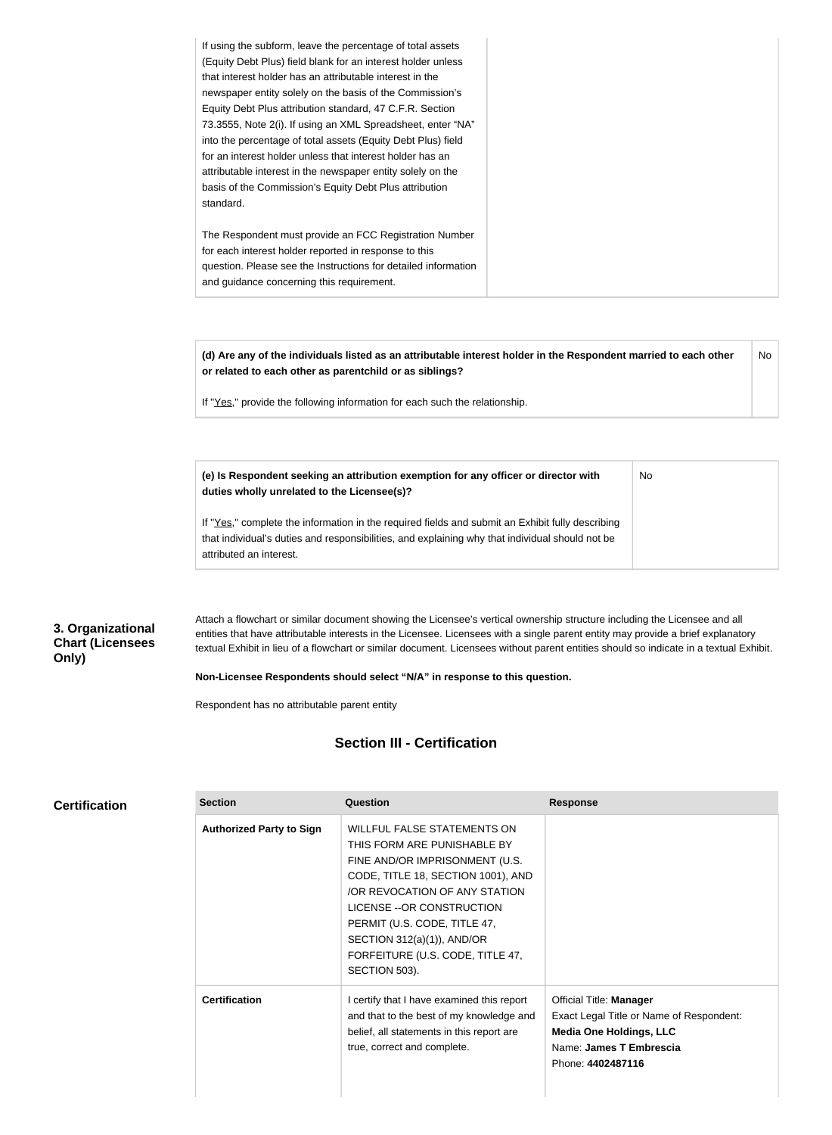| If using the subform, leave the percentage of total assets     |
|----------------------------------------------------------------|
| (Equity Debt Plus) field blank for an interest holder unless   |
| that interest holder has an attributable interest in the       |
| newspaper entity solely on the basis of the Commission's       |
| Equity Debt Plus attribution standard, 47 C.F.R. Section       |
| 73.3555, Note 2(i). If using an XML Spreadsheet, enter "NA"    |
| into the percentage of total assets (Equity Debt Plus) field   |
| for an interest holder unless that interest holder has an      |
| attributable interest in the newspaper entity solely on the    |
| basis of the Commission's Equity Debt Plus attribution         |
| standard.                                                      |
|                                                                |
| The Respondent must provide an FCC Registration Number         |
| for each interest holder reported in response to this          |
| question. Please see the Instructions for detailed information |
| and guidance concerning this requirement.                      |

**(d) Are any of the individuals listed as an attributable interest holder in the Respondent married to each other or related to each other as parentchild or as siblings?** No

No

If "Yes," provide the following information for each such the relationship.

**(e) Is Respondent seeking an attribution exemption for any officer or director with duties wholly unrelated to the Licensee(s)?**

If "Yes," complete the information in the required fields and submit an Exhibit fully describing that individual's duties and responsibilities, and explaining why that individual should not be attributed an interest.

#### **3. Organizational Chart (Licensees Only)**

Attach a flowchart or similar document showing the Licensee's vertical ownership structure including the Licensee and all entities that have attributable interests in the Licensee. Licensees with a single parent entity may provide a brief explanatory textual Exhibit in lieu of a flowchart or similar document. Licensees without parent entities should so indicate in a textual Exhibit.

#### **Non-Licensee Respondents should select "N/A" in response to this question.**

Respondent has no attributable parent entity

#### **Section III - Certification**

| <b>Certification</b> |  |  |  |  |  |
|----------------------|--|--|--|--|--|
|----------------------|--|--|--|--|--|

| <b>Section</b>                  | Question                                                                                                                                                                                                                                                                                                                    | <b>Response</b>                                                                                                                                              |
|---------------------------------|-----------------------------------------------------------------------------------------------------------------------------------------------------------------------------------------------------------------------------------------------------------------------------------------------------------------------------|--------------------------------------------------------------------------------------------------------------------------------------------------------------|
| <b>Authorized Party to Sign</b> | <b>WILLFUL FALSE STATEMENTS ON</b><br>THIS FORM ARE PUNISHABLE BY<br>FINE AND/OR IMPRISONMENT (U.S.<br>CODE, TITLE 18, SECTION 1001), AND<br>/OR REVOCATION OF ANY STATION<br>LICENSE -- OR CONSTRUCTION<br>PERMIT (U.S. CODE, TITLE 47,<br>SECTION 312(a)(1)), AND/OR<br>FORFEITURE (U.S. CODE, TITLE 47,<br>SECTION 503). |                                                                                                                                                              |
| <b>Certification</b>            | I certify that I have examined this report<br>and that to the best of my knowledge and<br>belief, all statements in this report are<br>true, correct and complete.                                                                                                                                                          | <b>Official Title: Manager</b><br>Exact Legal Title or Name of Respondent:<br><b>Media One Holdings, LLC</b><br>Name: James T Embrescia<br>Phone: 4402487116 |